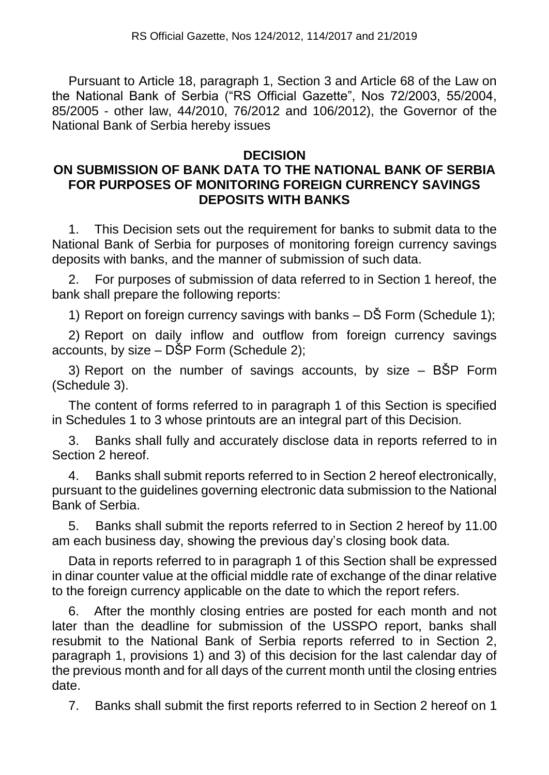Pursuant to Article 18, paragraph 1, Section 3 and Article 68 of the Law on the National Bank of Serbia ("RS Official Gazette", Nos 72/2003, 55/2004, 85/2005 - other law, 44/2010, 76/2012 and 106/2012), the Governor of the National Bank of Serbia hereby issues

## **DECISION**

## **ON SUBMISSION OF BANK DATA TO THE NATIONAL BANK OF SERBIA FOR PURPOSES OF MONITORING FOREIGN CURRENCY SAVINGS DEPOSITS WITH BANKS**

1. This Decision sets out the requirement for banks to submit data to the National Bank of Serbia for purposes of monitoring foreign currency savings deposits with banks, and the manner of submission of such data.

2. For purposes of submission of data referred to in Section 1 hereof, the bank shall prepare the following reports:

1) Report on foreign currency savings with banks – DŠ Form (Schedule 1);

2) Report on daily inflow and outflow from foreign currency savings accounts, by size – DŠP Form (Schedule 2);

3) Report on the number of savings accounts, by size – BŠP Form (Schedule 3).

The content of forms referred to in paragraph 1 of this Section is specified in Schedules 1 to 3 whose printouts are an integral part of this Decision.

3. Banks shall fully and accurately disclose data in reports referred to in Section 2 hereof.

4. Banks shall submit reports referred to in Section 2 hereof electronically, pursuant to the guidelines governing electronic data submission to the National Bank of Serbia.

5. Banks shall submit the reports referred to in Section 2 hereof by 11.00 am each business day, showing the previous day's closing book data.

Data in reports referred to in paragraph 1 of this Section shall be expressed in dinar counter value at the official middle rate of exchange of the dinar relative to the foreign currency applicable on the date to which the report refers.

6. After the monthly closing entries are posted for each month and not later than the deadline for submission of the USSPO report, banks shall resubmit to the National Bank of Serbia reports referred to in Section 2, paragraph 1, provisions 1) and 3) of this decision for the last calendar day of the previous month and for all days of the current month until the closing entries date.

7. Banks shall submit the first reports referred to in Section 2 hereof on 1